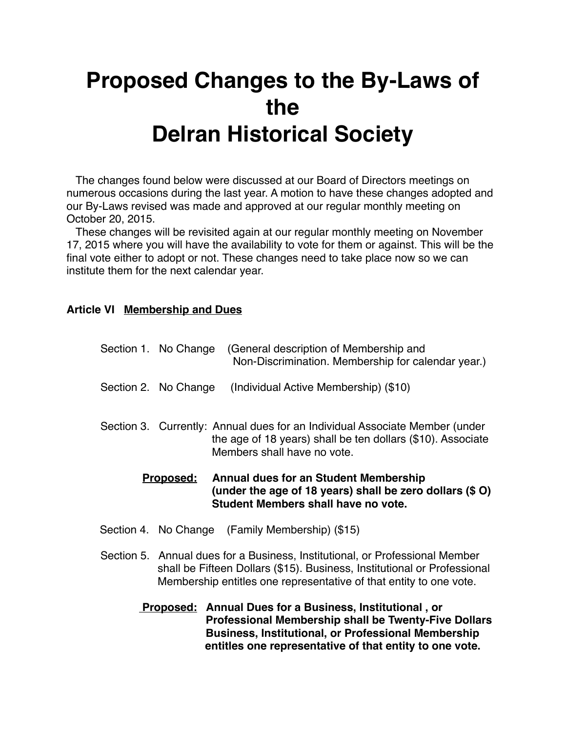## **Proposed Changes to the By-Laws of the Delran Historical Society**

 The changes found below were discussed at our Board of Directors meetings on numerous occasions during the last year. A motion to have these changes adopted and our By-Laws revised was made and approved at our regular monthly meeting on October 20, 2015.

 These changes will be revisited again at our regular monthly meeting on November 17, 2015 where you will have the availability to vote for them or against. This will be the final vote either to adopt or not. These changes need to take place now so we can institute them for the next calendar year.

## **Article VI Membership and Dues**

|  | <b>Proposed:</b>     | <b>Annual dues for an Student Membership</b>                                                                                                                              |
|--|----------------------|---------------------------------------------------------------------------------------------------------------------------------------------------------------------------|
|  |                      | Section 3. Currently: Annual dues for an Individual Associate Member (under<br>the age of 18 years) shall be ten dollars (\$10). Associate<br>Members shall have no vote. |
|  | Section 2. No Change | (Individual Active Membership) (\$10)                                                                                                                                     |
|  | Section 1. No Change | (General description of Membership and<br>Non-Discrimination. Membership for calendar year.)                                                                              |

**! ! ! ! (under the age of 18 years) shall be zero dollars (\$ O) ! ! ! ! Student Members shall have no vote.**

- Section 4. No Change (Family Membership) (\$15)
- Section 5. Annual dues for a Business, Institutional, or Professional Member shall be Fifteen Dollars (\$15). Business, Institutional or Professional Membership entitles one representative of that entity to one vote.
	- **Proposed: Annual Dues for a Business, Institutional, or ! ! ! ! Professional Membership shall be Twenty-Five Dollars ! ! ! ! Business, Institutional, or Professional Membership entitles one representative of that entity to one vote.**